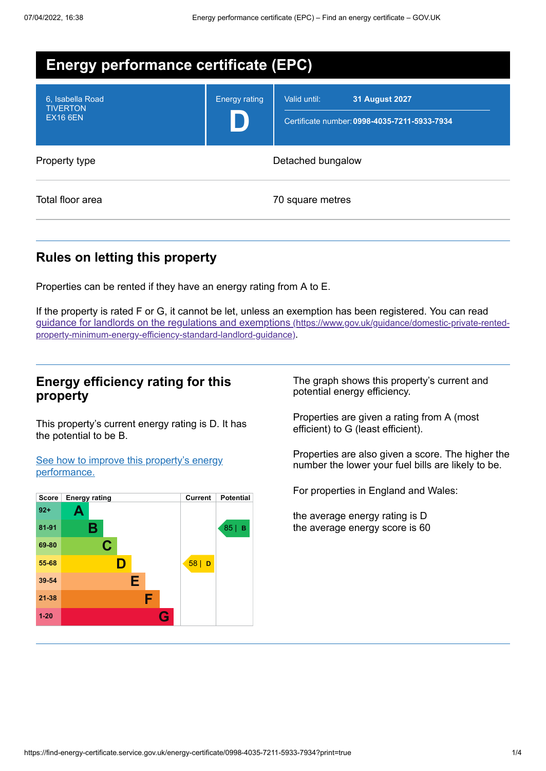| <b>Energy performance certificate (EPC)</b>            |                      |                                                                                       |
|--------------------------------------------------------|----------------------|---------------------------------------------------------------------------------------|
| 6, Isabella Road<br><b>TIVERTON</b><br><b>EX16 6EN</b> | <b>Energy rating</b> | Valid until:<br><b>31 August 2027</b><br>Certificate number: 0998-4035-7211-5933-7934 |
| Property type                                          | Detached bungalow    |                                                                                       |
| Total floor area                                       |                      | 70 square metres                                                                      |

# **Rules on letting this property**

Properties can be rented if they have an energy rating from A to E.

If the property is rated F or G, it cannot be let, unless an exemption has been registered. You can read guidance for landlords on the regulations and exemptions (https://www.gov.uk/guidance/domestic-private-rented[property-minimum-energy-efficiency-standard-landlord-guidance\)](https://www.gov.uk/guidance/domestic-private-rented-property-minimum-energy-efficiency-standard-landlord-guidance).

### **Energy efficiency rating for this property**

This property's current energy rating is D. It has the potential to be B.

See how to improve this property's energy [performance.](#page-2-0)



The graph shows this property's current and potential energy efficiency.

Properties are given a rating from A (most efficient) to G (least efficient).

Properties are also given a score. The higher the number the lower your fuel bills are likely to be.

For properties in England and Wales:

the average energy rating is D the average energy score is 60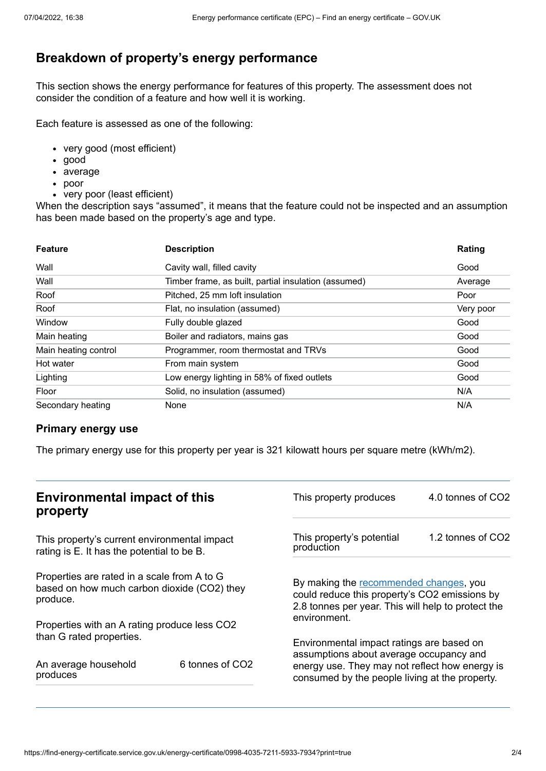# **Breakdown of property's energy performance**

This section shows the energy performance for features of this property. The assessment does not consider the condition of a feature and how well it is working.

Each feature is assessed as one of the following:

- very good (most efficient)
- good
- average
- poor
- very poor (least efficient)

When the description says "assumed", it means that the feature could not be inspected and an assumption has been made based on the property's age and type.

| <b>Feature</b>       | <b>Description</b>                                   | Rating    |
|----------------------|------------------------------------------------------|-----------|
| Wall                 | Cavity wall, filled cavity                           | Good      |
| Wall                 | Timber frame, as built, partial insulation (assumed) | Average   |
| Roof                 | Pitched, 25 mm loft insulation                       | Poor      |
| Roof                 | Flat, no insulation (assumed)                        | Very poor |
| Window               | Fully double glazed                                  | Good      |
| Main heating         | Boiler and radiators, mains gas                      | Good      |
| Main heating control | Programmer, room thermostat and TRVs                 | Good      |
| Hot water            | From main system                                     | Good      |
| Lighting             | Low energy lighting in 58% of fixed outlets          | Good      |
| Floor                | Solid, no insulation (assumed)                       | N/A       |
| Secondary heating    | None                                                 | N/A       |

#### **Primary energy use**

The primary energy use for this property per year is 321 kilowatt hours per square metre (kWh/m2).

| <b>Environmental impact of this</b><br>property                                                        |                 | This property produces                                                                                                                                        | 4.0 tonnes of CO2 |
|--------------------------------------------------------------------------------------------------------|-----------------|---------------------------------------------------------------------------------------------------------------------------------------------------------------|-------------------|
| This property's current environmental impact<br>rating is E. It has the potential to be B.             |                 | This property's potential<br>production                                                                                                                       | 1.2 tonnes of CO2 |
| Properties are rated in a scale from A to G<br>based on how much carbon dioxide (CO2) they<br>produce. |                 | By making the recommended changes, you<br>could reduce this property's CO2 emissions by<br>2.8 tonnes per year. This will help to protect the<br>environment. |                   |
| Properties with an A rating produce less CO2                                                           |                 |                                                                                                                                                               |                   |
| than G rated properties.                                                                               |                 | Environmental impact ratings are based on<br>assumptions about average occupancy and                                                                          |                   |
| An average household<br>produces                                                                       | 6 tonnes of CO2 | energy use. They may not reflect how energy is<br>consumed by the people living at the property.                                                              |                   |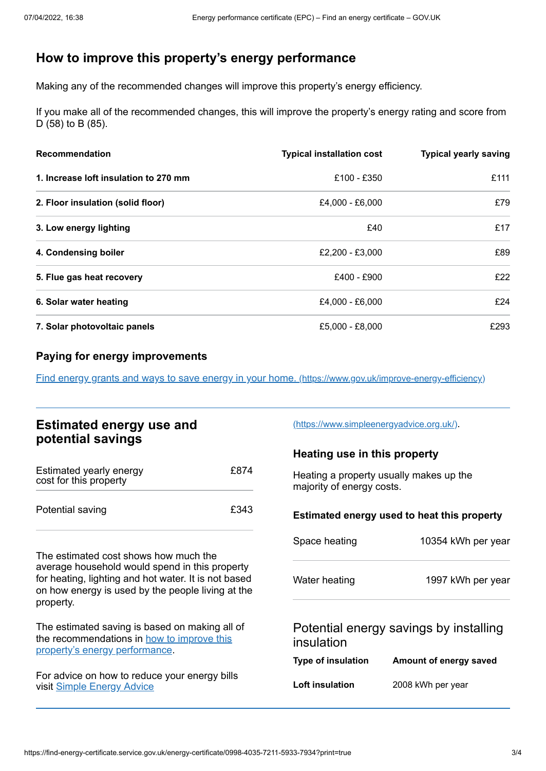## <span id="page-2-0"></span>**How to improve this property's energy performance**

Making any of the recommended changes will improve this property's energy efficiency.

If you make all of the recommended changes, this will improve the property's energy rating and score from D (58) to B (85).

| <b>Recommendation</b>                 | <b>Typical installation cost</b> | <b>Typical yearly saving</b> |
|---------------------------------------|----------------------------------|------------------------------|
| 1. Increase loft insulation to 270 mm | £100 - £350                      | £111                         |
| 2. Floor insulation (solid floor)     | £4,000 - £6,000                  | £79                          |
| 3. Low energy lighting                | £40                              | £17                          |
| 4. Condensing boiler                  | £2,200 - £3,000                  | £89                          |
| 5. Flue gas heat recovery             | £400 - £900                      | £22                          |
| 6. Solar water heating                | £4,000 - £6,000                  | £24                          |
| 7. Solar photovoltaic panels          | £5,000 - £8,000                  | £293                         |

### **Paying for energy improvements**

Find energy grants and ways to save energy in your home. [\(https://www.gov.uk/improve-energy-efficiency\)](https://www.gov.uk/improve-energy-efficiency)

| <b>Estimated energy use and</b> |  |
|---------------------------------|--|
| potential savings               |  |

| Estimated yearly energy<br>cost for this property | £874 |
|---------------------------------------------------|------|
| Potential saving                                  | £343 |

The estimated cost shows how much the average household would spend in this property for heating, lighting and hot water. It is not based on how energy is used by the people living at the property.

The estimated saving is based on making all of the [recommendations](#page-2-0) in how to improve this property's energy performance.

For advice on how to reduce your energy bills visit Simple [Energy](https://www.simpleenergyadvice.org.uk/) Advice

[\(https://www.simpleenergyadvice.org.uk/\)](https://www.simpleenergyadvice.org.uk/).

### **Heating use in this property**

Heating a property usually makes up the majority of energy costs.

#### **Estimated energy used to heat this property**

| Space heating          | 10354 kWh per year                     |
|------------------------|----------------------------------------|
| Water heating          | 1997 kWh per year                      |
| insulation             | Potential energy savings by installing |
| Type of insulation     | Amount of energy saved                 |
| <b>Loft insulation</b> | 2008 kWh per year                      |